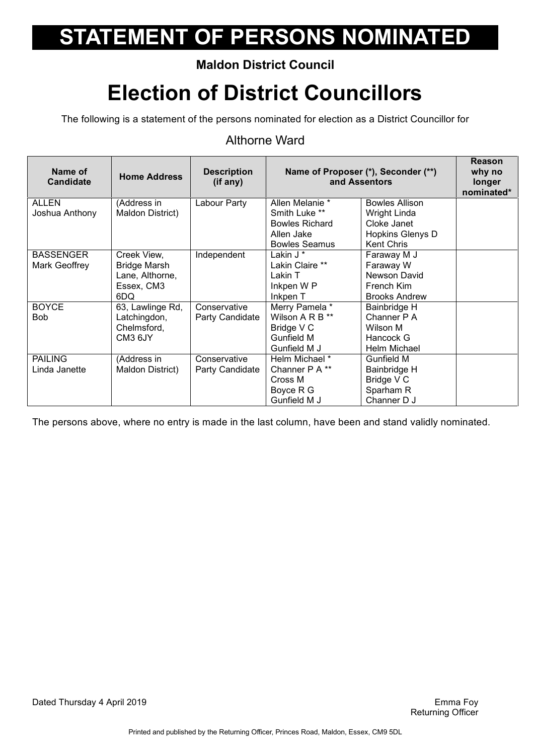### **Maldon District Council**

## **Election of District Councillors**

The following is a statement of the persons nominated for election as a District Councillor for

#### Althorne Ward

| Name of<br><b>Candidate</b>       | <b>Home Address</b>                                                        | <b>Description</b><br>(if any)  | Name of Proposer (*), Seconder (**)<br>and Assentors                                            |                                                                                                      | Reason<br>why no<br>longer<br>nominated* |
|-----------------------------------|----------------------------------------------------------------------------|---------------------------------|-------------------------------------------------------------------------------------------------|------------------------------------------------------------------------------------------------------|------------------------------------------|
| ALLEN<br>Joshua Anthony           | (Address in<br>Maldon District)                                            | Labour Party                    | Allen Melanie *<br>Smith Luke **<br><b>Bowles Richard</b><br>Allen Jake<br><b>Bowles Seamus</b> | <b>Bowles Allison</b><br><b>Wright Linda</b><br>Cloke Janet<br>Hopkins Glenys D<br><b>Kent Chris</b> |                                          |
| <b>BASSENGER</b><br>Mark Geoffrey | Creek View,<br><b>Bridge Marsh</b><br>Lane, Althorne,<br>Essex, CM3<br>6DQ | Independent                     | Lakin J *<br>Lakin Claire **<br>Lakin T<br>Inkpen W P<br>Inkpen T                               | Faraway M J<br>Faraway W<br>Newson David<br>French Kim<br><b>Brooks Andrew</b>                       |                                          |
| <b>BOYCE</b><br><b>Bob</b>        | 63, Lawlinge Rd,<br>Latchingdon,<br>Chelmsford,<br>CM3 6JY                 | Conservative<br>Party Candidate | Merry Pamela *<br>Wilson A R B **<br>Bridge V C<br>Gunfield M<br>Gunfield M J                   | Bainbridge H<br>Channer P A<br>Wilson M<br>Hancock G<br>Helm Michael                                 |                                          |
| <b>PAILING</b><br>Linda Janette   | (Address in<br>Maldon District)                                            | Conservative<br>Party Candidate | Helm Michael *<br>Channer P A **<br>Cross M<br>Boyce R G<br>Gunfield M J                        | Gunfield M<br>Bainbridge H<br>Bridge V C<br>Sparham R<br>Channer D J                                 |                                          |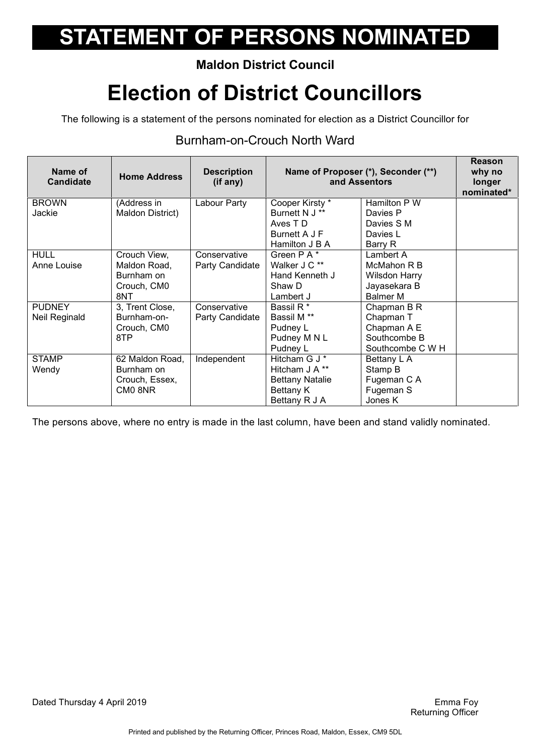### **Maldon District Council**

## **Election of District Councillors**

The following is a statement of the persons nominated for election as a District Councillor for

#### Burnham-on-Crouch North Ward

| Name of<br><b>Candidate</b> | <b>Home Address</b>             | <b>Description</b><br>(if any) | Name of Proposer (*), Seconder (**)<br>and Assentors |                          | Reason<br>why no<br>longer<br>nominated* |
|-----------------------------|---------------------------------|--------------------------------|------------------------------------------------------|--------------------------|------------------------------------------|
| <b>BROWN</b><br>Jackie      | (Address in<br>Maldon District) | Labour Party                   | Cooper Kirsty *<br>Burnett N J **                    | Hamilton P W<br>Davies P |                                          |
|                             |                                 |                                | Aves T D                                             | Davies S M               |                                          |
|                             |                                 |                                | Burnett A J F                                        | Davies L                 |                                          |
|                             |                                 |                                | Hamilton J B A                                       | Barry R                  |                                          |
| <b>HULL</b>                 | Crouch View,                    | Conservative                   | Green P A *                                          | Lambert A                |                                          |
| Anne Louise                 | Maldon Road,                    | Party Candidate                | Walker J C **                                        | McMahon R B              |                                          |
|                             | Burnham on                      |                                | Hand Kenneth J                                       | Wilsdon Harry            |                                          |
|                             | Crouch, CM0                     |                                | Shaw D                                               | Jayasekara B             |                                          |
|                             | 8NT                             |                                | Lambert J                                            | <b>Balmer M</b>          |                                          |
| <b>PUDNEY</b>               | 3, Trent Close,                 | Conservative                   | Bassil R <sup>*</sup>                                | Chapman B R              |                                          |
| Neil Reginald               | Burnham-on-                     | Party Candidate                | Bassil M <sup>**</sup>                               | Chapman T                |                                          |
|                             | Crouch, CM0                     |                                | Pudney L                                             | Chapman A E              |                                          |
|                             | 8TP                             |                                | Pudney M N L                                         | Southcombe B             |                                          |
|                             |                                 |                                | Pudney L                                             | Southcombe C W H         |                                          |
| STAMP                       | 62 Maldon Road,                 | Independent                    | Hitcham G J *                                        | Bettany L A              |                                          |
| Wendy                       | Burnham on                      |                                | Hitcham J A **                                       | Stamp B                  |                                          |
|                             | Crouch, Essex,                  |                                | <b>Bettany Natalie</b>                               | Fugeman C A              |                                          |
|                             | CM0 8NR                         |                                | Bettany K                                            | Fugeman S                |                                          |
|                             |                                 |                                | Bettany R J A                                        | Jones K                  |                                          |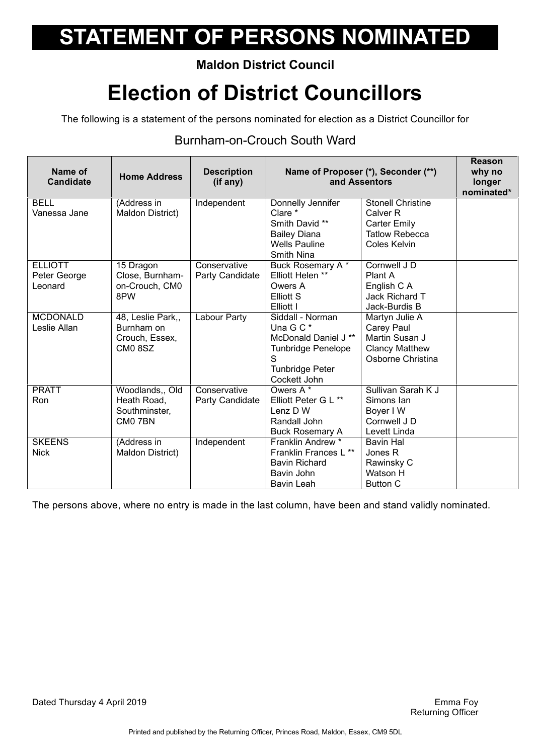### **Maldon District Council**

## **Election of District Councillors**

The following is a statement of the persons nominated for election as a District Councillor for

#### Burnham-on-Crouch South Ward

| Name of<br><b>Candidate</b>               | <b>Home Address</b>                                         | <b>Description</b><br>(if any)  |                                                                                                                                   | Name of Proposer (*), Seconder (**)<br>and Assentors                                                            | <b>Reason</b><br>why no<br>longer<br>nominated* |
|-------------------------------------------|-------------------------------------------------------------|---------------------------------|-----------------------------------------------------------------------------------------------------------------------------------|-----------------------------------------------------------------------------------------------------------------|-------------------------------------------------|
| BELL<br>Vanessa Jane                      | (Address in<br>Maldon District)                             | Independent                     | Donnelly Jennifer<br>Clare *<br>Smith David **<br><b>Bailey Diana</b><br><b>Wells Pauline</b><br>Smith Nina                       | <b>Stonell Christine</b><br>Calver <sub>R</sub><br><b>Carter Emily</b><br><b>Tatlow Rebecca</b><br>Coles Kelvin |                                                 |
| <b>ELLIOTT</b><br>Peter George<br>Leonard | 15 Dragon<br>Close, Burnham-<br>on-Crouch, CM0<br>8PW       | Conservative<br>Party Candidate | Buck Rosemary A*<br>Elliott Helen **<br>Owers A<br>Elliott S<br>Elliott I                                                         | Cornwell J D<br>Plant A<br>English C A<br>Jack Richard T<br>Jack-Burdis B                                       |                                                 |
| <b>MCDONALD</b><br>Leslie Allan           | 48, Leslie Park,,<br>Burnham on<br>Crouch, Essex,<br>CM08SZ | Labour Party                    | Siddall - Norman<br>Una G C *<br>McDonald Daniel J **<br><b>Tunbridge Penelope</b><br>S<br><b>Tunbridge Peter</b><br>Cockett John | Martyn Julie A<br>Carey Paul<br>Martin Susan J<br><b>Clancy Matthew</b><br>Osborne Christina                    |                                                 |
| <b>PRATT</b><br>Ron                       | Woodlands,, Old<br>Heath Road,<br>Southminster,<br>CM0 7BN  | Conservative<br>Party Candidate | Owers A <sup>*</sup><br>Elliott Peter G L **<br>Lenz D W<br>Randall John<br><b>Buck Rosemary A</b>                                | Sullivan Sarah K J<br>Simons Ian<br>Boyer I W<br>Cornwell J D<br>Levett Linda                                   |                                                 |
| <b>SKEENS</b><br><b>Nick</b>              | (Address in<br>Maldon District)                             | Independent                     | Franklin Andrew *<br>Franklin Frances L **<br><b>Bavin Richard</b><br>Bavin John<br>Bavin Leah                                    | <b>Bavin Hal</b><br>Jones R<br>Rawinsky C<br>Watson H<br><b>Button C</b>                                        |                                                 |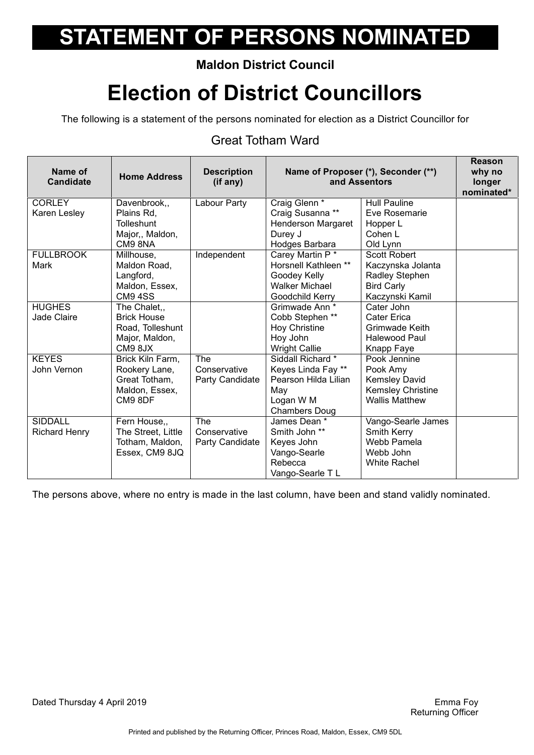### **Maldon District Council**

## **Election of District Councillors**

The following is a statement of the persons nominated for election as a District Councillor for

#### Great Totham Ward

| Name of<br><b>Candidate</b> | <b>Home Address</b> | <b>Description</b><br>(if any) |                       | Name of Proposer (*), Seconder (**)<br>and Assentors | <b>Reason</b><br>why no<br>longer<br>nominated* |
|-----------------------------|---------------------|--------------------------------|-----------------------|------------------------------------------------------|-------------------------------------------------|
| <b>CORLEY</b>               | Davenbrook,,        | Labour Party                   | Craig Glenn *         | <b>Hull Pauline</b>                                  |                                                 |
| Karen Lesley                | Plains Rd,          |                                | Craig Susanna **      | Eve Rosemarie                                        |                                                 |
|                             | <b>Tolleshunt</b>   |                                | Henderson Margaret    | Hopper L                                             |                                                 |
|                             | Major,, Maldon,     |                                | Durey J               | Cohen L                                              |                                                 |
|                             | CM98NA              |                                | Hodges Barbara        | Old Lynn                                             |                                                 |
| <b>FULLBROOK</b>            | Millhouse,          | Independent                    | Carey Martin P*       | <b>Scott Robert</b>                                  |                                                 |
| Mark                        | Maldon Road,        |                                | Horsnell Kathleen **  | Kaczynska Jolanta                                    |                                                 |
|                             | Langford,           |                                | Goodey Kelly          | Radley Stephen                                       |                                                 |
|                             | Maldon, Essex,      |                                | <b>Walker Michael</b> | <b>Bird Carly</b>                                    |                                                 |
|                             | <b>CM9 4SS</b>      |                                | Goodchild Kerry       | Kaczynski Kamil                                      |                                                 |
| <b>HUGHES</b>               | The Chalet,,        |                                | Grimwade Ann *        | Cater John                                           |                                                 |
| Jade Claire                 | <b>Brick House</b>  |                                | Cobb Stephen **       | Cater Erica                                          |                                                 |
|                             | Road, Tolleshunt    |                                | <b>Hoy Christine</b>  | Grimwade Keith                                       |                                                 |
|                             | Major, Maldon,      |                                | Hoy John              | Halewood Paul                                        |                                                 |
|                             | CM98JX              |                                | <b>Wright Callie</b>  | Knapp Faye                                           |                                                 |
| <b>KEYES</b>                | Brick Kiln Farm,    | <b>The</b>                     | Siddall Richard *     | Pook Jennine                                         |                                                 |
| John Vernon                 | Rookery Lane,       | Conservative                   | Keyes Linda Fay **    | Pook Amy                                             |                                                 |
|                             | Great Totham,       | Party Candidate                | Pearson Hilda Lilian  | <b>Kemsley David</b>                                 |                                                 |
|                             | Maldon, Essex,      |                                | May                   | <b>Kemsley Christine</b>                             |                                                 |
|                             | CM9 8DF             |                                | Logan W M             | <b>Wallis Matthew</b>                                |                                                 |
|                             |                     |                                | <b>Chambers Doug</b>  |                                                      |                                                 |
| <b>SIDDALL</b>              | Fern House,,        | The                            | James Dean *          | Vango-Searle James                                   |                                                 |
| <b>Richard Henry</b>        | The Street, Little  | Conservative                   | Smith John **         | Smith Kerry                                          |                                                 |
|                             | Totham, Maldon,     | Party Candidate                | Keyes John            | Webb Pamela                                          |                                                 |
|                             | Essex, CM9 8JQ      |                                | Vango-Searle          | Webb John                                            |                                                 |
|                             |                     |                                | Rebecca               | <b>White Rachel</b>                                  |                                                 |
|                             |                     |                                | Vango-Searle TL       |                                                      |                                                 |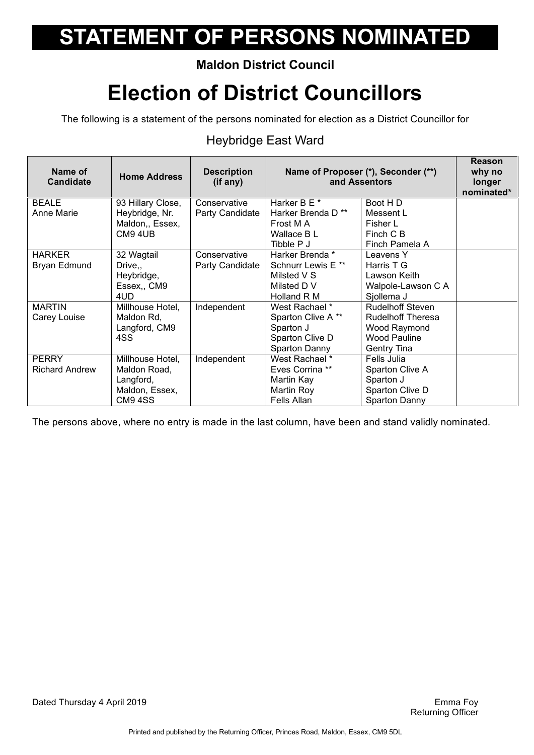### **Maldon District Council**

## **Election of District Councillors**

The following is a statement of the persons nominated for election as a District Councillor for

### Heybridge East Ward

| Name of<br><b>Candidate</b>           | <b>Home Address</b>                                                        | <b>Description</b><br>(if any)  | Name of Proposer (*), Seconder (**)<br>and Assentors                                          |                                                                                                           | Reason<br>why no<br>longer<br>nominated* |
|---------------------------------------|----------------------------------------------------------------------------|---------------------------------|-----------------------------------------------------------------------------------------------|-----------------------------------------------------------------------------------------------------------|------------------------------------------|
| <b>BEALE</b><br><b>Anne Marie</b>     | 93 Hillary Close,<br>Heybridge, Nr.<br>Maldon,, Essex,<br>CM9 4UB          | Conservative<br>Party Candidate | Harker B E *<br>Harker Brenda D**<br>Frost M A<br>Wallace B L<br>Tibble P J                   | Boot HD<br>Messent L<br>Fisher L<br>Finch C B<br>Finch Pamela A                                           |                                          |
| <b>HARKER</b><br>Bryan Edmund         | 32 Wagtail<br>Drive,,<br>Heybridge,<br>Essex, CM9<br>4UD                   | Conservative<br>Party Candidate | Harker Brenda *<br>Schnurr Lewis E <sup>**</sup><br>Milsted V S<br>Milsted D V<br>Holland R M | Leavens Y<br>Harris T G<br>Lawson Keith<br>Walpole-Lawson C A<br>Sjollema J                               |                                          |
| <b>MARTIN</b><br>Carey Louise         | Millhouse Hotel,<br>Maldon Rd,<br>Langford, CM9<br>4SS                     | Independent                     | West Rachael *<br>Sparton Clive A**<br>Sparton J<br>Sparton Clive D<br>Sparton Danny          | <b>Rudelhoff Steven</b><br><b>Rudelhoff Theresa</b><br>Wood Raymond<br><b>Wood Pauline</b><br>Gentry Tina |                                          |
| <b>PERRY</b><br><b>Richard Andrew</b> | Millhouse Hotel,<br>Maldon Road,<br>Langford,<br>Maldon, Essex,<br>CM9 4SS | Independent                     | West Rachael *<br>Eves Corrina **<br>Martin Kay<br>Martin Roy<br>Fells Allan                  | Fells Julia<br>Sparton Clive A<br>Sparton J<br>Sparton Clive D<br>Sparton Danny                           |                                          |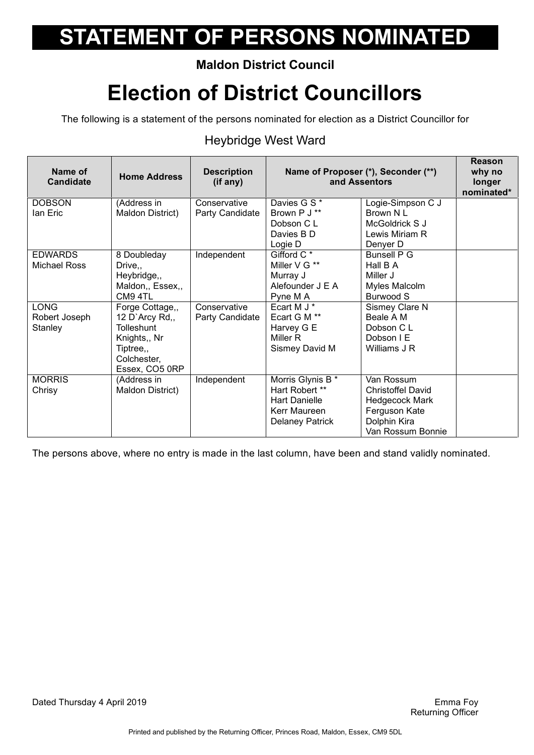### **Maldon District Council**

## **Election of District Councillors**

The following is a statement of the persons nominated for election as a District Councillor for

#### Heybridge West Ward

| Davies G S *<br><b>DOBSON</b><br>Logie-Simpson C J<br>(Address in<br>Conservative<br>Brown P J **<br>Brown NL<br>Maldon District)<br>Ian Eric<br>Party Candidate<br>Dobson C L<br>McGoldrick S J<br>Davies B D<br>Lewis Miriam R<br>Logie D<br>Denyer D<br>Gifford C <sup>*</sup><br><b>EDWARDS</b><br>8 Doubleday<br>Independent<br><b>Bunsell P G</b><br>Miller V G **<br>Hall B A<br><b>Michael Ross</b><br>Drive,,<br>Heybridge,,<br>Murray J<br>Miller J<br>Alefounder J E A<br>Maldon,, Essex,,<br>Myles Malcolm<br>CM9 4TL<br>Burwood S<br>Pyne M A<br>Ecart M J *<br><b>LONG</b><br>Sismey Clare N<br>Forge Cottage,,<br>Conservative<br>Ecart G M **<br>12 D'Arcy $Rd_{1}$<br>Party Candidate<br>Beale A M<br>Robert Joseph<br><b>Tolleshunt</b><br>Harvey G E<br>Stanley<br>Dobson C L<br>Miller R<br>Dobson I E<br>Knights,, Nr<br>Tiptree,,<br>Sismey David M<br>Williams J R<br>Colchester,<br>Essex, CO5 0RP<br>Morris Glynis B *<br><b>MORRIS</b><br>Independent<br>Van Rossum<br>(Address in<br>Hart Robert **<br>Chrisy<br>Maldon District)<br><b>Christoffel David</b><br><b>Hart Danielle</b><br><b>Hedgecock Mark</b><br>Ferguson Kate<br>Kerr Maureen<br>Dolphin Kira<br><b>Delaney Patrick</b> | Name of<br><b>Candidate</b> | <b>Home Address</b> | <b>Description</b><br>(if any) | Name of Proposer (*), Seconder (**)<br>and Assentors |                   | Reason<br>why no<br>longer<br>nominated* |
|----------------------------------------------------------------------------------------------------------------------------------------------------------------------------------------------------------------------------------------------------------------------------------------------------------------------------------------------------------------------------------------------------------------------------------------------------------------------------------------------------------------------------------------------------------------------------------------------------------------------------------------------------------------------------------------------------------------------------------------------------------------------------------------------------------------------------------------------------------------------------------------------------------------------------------------------------------------------------------------------------------------------------------------------------------------------------------------------------------------------------------------------------------------------------------------------------------------------|-----------------------------|---------------------|--------------------------------|------------------------------------------------------|-------------------|------------------------------------------|
|                                                                                                                                                                                                                                                                                                                                                                                                                                                                                                                                                                                                                                                                                                                                                                                                                                                                                                                                                                                                                                                                                                                                                                                                                      |                             |                     |                                |                                                      |                   |                                          |
|                                                                                                                                                                                                                                                                                                                                                                                                                                                                                                                                                                                                                                                                                                                                                                                                                                                                                                                                                                                                                                                                                                                                                                                                                      |                             |                     |                                |                                                      |                   |                                          |
|                                                                                                                                                                                                                                                                                                                                                                                                                                                                                                                                                                                                                                                                                                                                                                                                                                                                                                                                                                                                                                                                                                                                                                                                                      |                             |                     |                                |                                                      |                   |                                          |
|                                                                                                                                                                                                                                                                                                                                                                                                                                                                                                                                                                                                                                                                                                                                                                                                                                                                                                                                                                                                                                                                                                                                                                                                                      |                             |                     |                                |                                                      |                   |                                          |
|                                                                                                                                                                                                                                                                                                                                                                                                                                                                                                                                                                                                                                                                                                                                                                                                                                                                                                                                                                                                                                                                                                                                                                                                                      |                             |                     |                                |                                                      |                   |                                          |
|                                                                                                                                                                                                                                                                                                                                                                                                                                                                                                                                                                                                                                                                                                                                                                                                                                                                                                                                                                                                                                                                                                                                                                                                                      |                             |                     |                                |                                                      |                   |                                          |
|                                                                                                                                                                                                                                                                                                                                                                                                                                                                                                                                                                                                                                                                                                                                                                                                                                                                                                                                                                                                                                                                                                                                                                                                                      |                             |                     |                                |                                                      |                   |                                          |
|                                                                                                                                                                                                                                                                                                                                                                                                                                                                                                                                                                                                                                                                                                                                                                                                                                                                                                                                                                                                                                                                                                                                                                                                                      |                             |                     |                                |                                                      |                   |                                          |
|                                                                                                                                                                                                                                                                                                                                                                                                                                                                                                                                                                                                                                                                                                                                                                                                                                                                                                                                                                                                                                                                                                                                                                                                                      |                             |                     |                                |                                                      |                   |                                          |
|                                                                                                                                                                                                                                                                                                                                                                                                                                                                                                                                                                                                                                                                                                                                                                                                                                                                                                                                                                                                                                                                                                                                                                                                                      |                             |                     |                                |                                                      |                   |                                          |
|                                                                                                                                                                                                                                                                                                                                                                                                                                                                                                                                                                                                                                                                                                                                                                                                                                                                                                                                                                                                                                                                                                                                                                                                                      |                             |                     |                                |                                                      |                   |                                          |
|                                                                                                                                                                                                                                                                                                                                                                                                                                                                                                                                                                                                                                                                                                                                                                                                                                                                                                                                                                                                                                                                                                                                                                                                                      |                             |                     |                                |                                                      |                   |                                          |
|                                                                                                                                                                                                                                                                                                                                                                                                                                                                                                                                                                                                                                                                                                                                                                                                                                                                                                                                                                                                                                                                                                                                                                                                                      |                             |                     |                                |                                                      |                   |                                          |
|                                                                                                                                                                                                                                                                                                                                                                                                                                                                                                                                                                                                                                                                                                                                                                                                                                                                                                                                                                                                                                                                                                                                                                                                                      |                             |                     |                                |                                                      |                   |                                          |
|                                                                                                                                                                                                                                                                                                                                                                                                                                                                                                                                                                                                                                                                                                                                                                                                                                                                                                                                                                                                                                                                                                                                                                                                                      |                             |                     |                                |                                                      |                   |                                          |
|                                                                                                                                                                                                                                                                                                                                                                                                                                                                                                                                                                                                                                                                                                                                                                                                                                                                                                                                                                                                                                                                                                                                                                                                                      |                             |                     |                                |                                                      |                   |                                          |
|                                                                                                                                                                                                                                                                                                                                                                                                                                                                                                                                                                                                                                                                                                                                                                                                                                                                                                                                                                                                                                                                                                                                                                                                                      |                             |                     |                                |                                                      |                   |                                          |
|                                                                                                                                                                                                                                                                                                                                                                                                                                                                                                                                                                                                                                                                                                                                                                                                                                                                                                                                                                                                                                                                                                                                                                                                                      |                             |                     |                                |                                                      |                   |                                          |
|                                                                                                                                                                                                                                                                                                                                                                                                                                                                                                                                                                                                                                                                                                                                                                                                                                                                                                                                                                                                                                                                                                                                                                                                                      |                             |                     |                                |                                                      |                   |                                          |
|                                                                                                                                                                                                                                                                                                                                                                                                                                                                                                                                                                                                                                                                                                                                                                                                                                                                                                                                                                                                                                                                                                                                                                                                                      |                             |                     |                                |                                                      |                   |                                          |
|                                                                                                                                                                                                                                                                                                                                                                                                                                                                                                                                                                                                                                                                                                                                                                                                                                                                                                                                                                                                                                                                                                                                                                                                                      |                             |                     |                                |                                                      | Van Rossum Bonnie |                                          |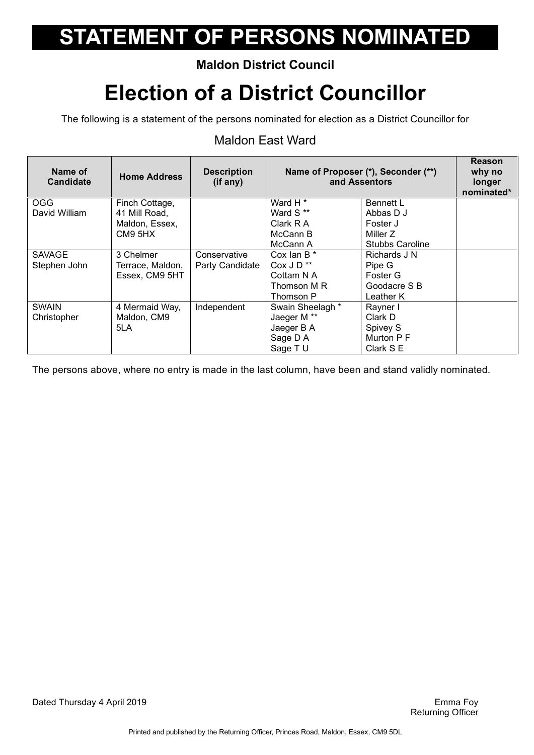### **Maldon District Council**

## **Election of a District Councillor**

The following is a statement of the persons nominated for election as a District Councillor for

#### Maldon East Ward

| Name of<br><b>Candidate</b> | <b>Home Address</b> | <b>Description</b><br>(if any) | Name of Proposer (*), Seconder (**)<br>and Assentors |                        | Reason<br>why no<br>longer<br>nominated* |
|-----------------------------|---------------------|--------------------------------|------------------------------------------------------|------------------------|------------------------------------------|
| <b>OGG</b>                  | Finch Cottage,      |                                | Ward H <sup>*</sup>                                  | <b>Bennett L</b>       |                                          |
| David William               | 41 Mill Road,       |                                | Ward S**                                             | Abbas D J              |                                          |
|                             | Maldon, Essex,      |                                | Clark R A                                            | Foster J               |                                          |
|                             | CM9 5HX             |                                | McCann B                                             | Miller Z               |                                          |
|                             |                     |                                | McCann A                                             | <b>Stubbs Caroline</b> |                                          |
| <b>SAVAGE</b>               | 3 Chelmer           | Conservative                   | Cox lan B *                                          | Richards J N           |                                          |
| Stephen John                | Terrace, Maldon,    | Party Candidate                | Cox J D <sup>**</sup>                                | Pipe G                 |                                          |
|                             | Essex, CM9 5HT      |                                | Cottam N A                                           | Foster G               |                                          |
|                             |                     |                                | Thomson M R                                          | Goodacre S B           |                                          |
|                             |                     |                                | Thomson P                                            | Leather K              |                                          |
| <b>SWAIN</b>                | 4 Mermaid Way,      | Independent                    | Swain Sheelagh *                                     | Rayner I               |                                          |
| Christopher                 | Maldon, CM9         |                                | Jaeger M **                                          | Clark D                |                                          |
|                             | 5LA                 |                                | Jaeger B A                                           | Spivey S               |                                          |
|                             |                     |                                | Sage D A                                             | Murton P F             |                                          |
|                             |                     |                                | Sage TU                                              | Clark S E              |                                          |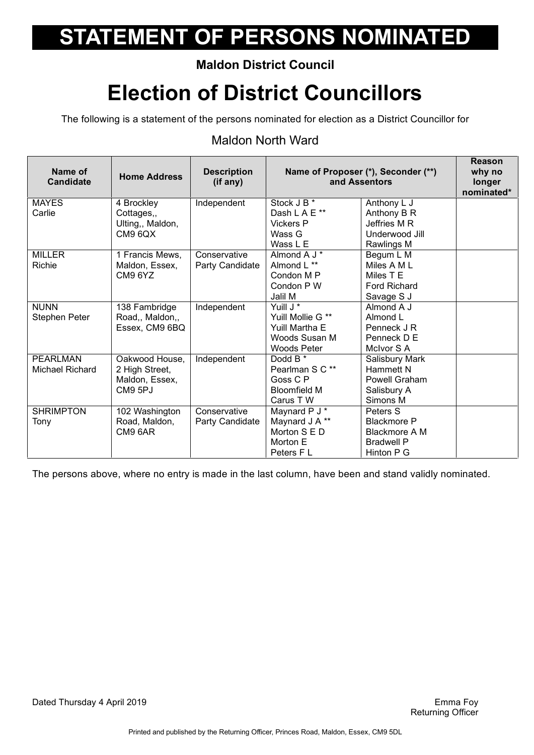### **Maldon District Council**

## **Election of District Councillors**

The following is a statement of the persons nominated for election as a District Councillor for

#### Maldon North Ward

| Name of<br><b>Candidate</b> | <b>Home Address</b>         | <b>Description</b><br>(if any) |                                  | Name of Proposer (*), Seconder (**)<br>and Assentors | <b>Reason</b><br>why no<br>longer<br>nominated* |
|-----------------------------|-----------------------------|--------------------------------|----------------------------------|------------------------------------------------------|-------------------------------------------------|
| <b>MAYES</b>                | 4 Brockley                  | Independent                    | Stock J B <sup>*</sup>           | Anthony L J                                          |                                                 |
| Carlie                      | Cottages,,                  |                                | Dash L A E**<br><b>Vickers P</b> | Anthony B R<br>Jeffries M R                          |                                                 |
|                             | Ulting,, Maldon,<br>CM9 6QX |                                | Wass G                           | Underwood Jill                                       |                                                 |
|                             |                             |                                | Wass L E                         | Rawlings M                                           |                                                 |
| <b>MILLER</b>               | 1 Francis Mews,             | Conservative                   | Almond A J *                     | Begum L M                                            |                                                 |
| Richie                      | Maldon, Essex,              | Party Candidate                | Almond L **                      | Miles A M L                                          |                                                 |
|                             | CM9 6YZ                     |                                | Condon M P                       | Miles T E                                            |                                                 |
|                             |                             |                                | Condon P W                       | <b>Ford Richard</b>                                  |                                                 |
|                             |                             |                                | Jalil M                          | Savage S J                                           |                                                 |
| <b>NUNN</b>                 | 138 Fambridge               | Independent                    | Yuill J <sup>*</sup>             | Almond A J                                           |                                                 |
| Stephen Peter               | Road,, Maldon,,             |                                | Yuill Mollie G **                | Almond L                                             |                                                 |
|                             | Essex, CM9 6BQ              |                                | Yuill Martha E                   | Penneck J R                                          |                                                 |
|                             |                             |                                | Woods Susan M                    | Penneck D E                                          |                                                 |
|                             |                             |                                | Woods Peter                      | McIvor S A                                           |                                                 |
| <b>PEARLMAN</b>             | Oakwood House,              | Independent                    | Dodd B *                         | Salisbury Mark                                       |                                                 |
| Michael Richard             | 2 High Street,              |                                | Pearlman S C **                  | <b>Hammett N</b>                                     |                                                 |
|                             | Maldon, Essex,              |                                | Goss C P                         | Powell Graham                                        |                                                 |
|                             | CM9 5PJ                     |                                | <b>Bloomfield M</b>              | Salisbury A                                          |                                                 |
|                             |                             |                                | Carus T W                        | Simons M                                             |                                                 |
| <b>SHRIMPTON</b>            | 102 Washington              | Conservative                   | Maynard P J *                    | Peters S                                             |                                                 |
| Tony                        | Road, Maldon,               | Party Candidate                | Maynard J A **                   | <b>Blackmore P</b>                                   |                                                 |
|                             | CM9 6AR                     |                                | Morton S E D                     | <b>Blackmore A M</b>                                 |                                                 |
|                             |                             |                                | Morton E                         | <b>Bradwell P</b>                                    |                                                 |
|                             |                             |                                | Peters F L                       | Hinton P G                                           |                                                 |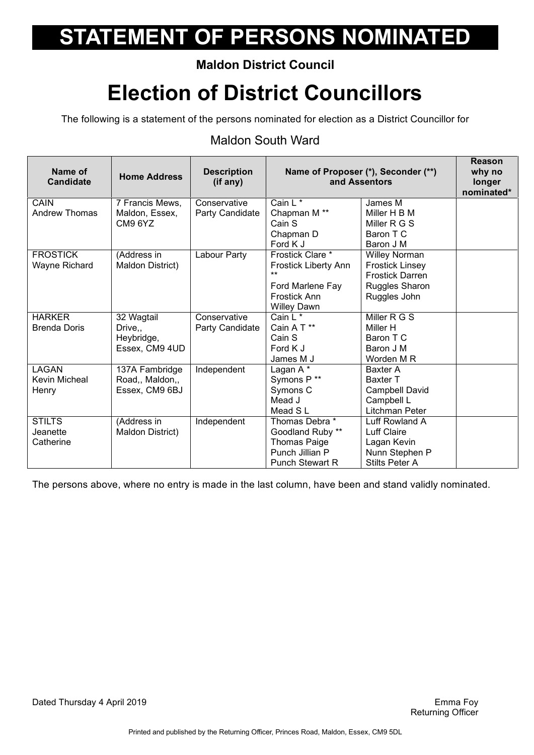### **Maldon District Council**

## **Election of District Councillors**

The following is a statement of the persons nominated for election as a District Councillor for

#### Maldon South Ward

| Name of<br><b>Candidate</b> | <b>Home Address</b>  | <b>Description</b><br>(if any) |                         | Name of Proposer (*), Seconder (**)<br>and Assentors | <b>Reason</b><br>why no<br>longer<br>nominated* |
|-----------------------------|----------------------|--------------------------------|-------------------------|------------------------------------------------------|-------------------------------------------------|
| CAIN                        | 7 Francis Mews,      | Conservative                   | Cain L <sup>*</sup>     | James M                                              |                                                 |
| <b>Andrew Thomas</b>        | Maldon, Essex,       | Party Candidate                | Chapman M <sup>**</sup> | Miller H B M                                         |                                                 |
|                             | CM9 6YZ              |                                | Cain S                  | Miller R G S                                         |                                                 |
|                             |                      |                                | Chapman D               | Baron T C                                            |                                                 |
|                             |                      |                                | Ford K J                | Baron J M                                            |                                                 |
| <b>FROSTICK</b>             | (Address in          | Labour Party                   | Frostick Clare *        | <b>Willey Norman</b>                                 |                                                 |
| Wayne Richard               | Maldon District)     |                                | Frostick Liberty Ann    | <b>Frostick Linsey</b>                               |                                                 |
|                             |                      |                                | $***$                   | <b>Frostick Darren</b>                               |                                                 |
|                             |                      |                                | Ford Marlene Fay        | Ruggles Sharon                                       |                                                 |
|                             |                      |                                | Frostick Ann            | Ruggles John                                         |                                                 |
|                             |                      |                                | <b>Willey Dawn</b>      |                                                      |                                                 |
| <b>HARKER</b>               | 32 Wagtail           | Conservative                   | Cain $L^*$              | Miller R G S                                         |                                                 |
| <b>Brenda Doris</b>         | Drive <sub>.</sub> , | Party Candidate                | Cain A T **             | Miller H                                             |                                                 |
|                             | Heybridge,           |                                | Cain S                  | Baron T C                                            |                                                 |
|                             | Essex, CM9 4UD       |                                | Ford K J                | Baron J M                                            |                                                 |
|                             |                      |                                | James M J               | Worden M R                                           |                                                 |
| LAGAN                       | 137A Fambridge       | Independent                    | Lagan A*                | Baxter A                                             |                                                 |
| Kevin Micheal               | Road,, Maldon,,      |                                | Symons P**              | <b>Baxter T</b>                                      |                                                 |
| Henry                       | Essex, CM9 6BJ       |                                | Symons C                | <b>Campbell David</b>                                |                                                 |
|                             |                      |                                | Mead J                  | Campbell L                                           |                                                 |
|                             |                      |                                | Mead SL                 | Litchman Peter                                       |                                                 |
| <b>STILTS</b>               | (Address in          | Independent                    | Thomas Debra *          | Luff Rowland A                                       |                                                 |
| Jeanette                    | Maldon District)     |                                | Goodland Ruby **        | Luff Claire                                          |                                                 |
| Catherine                   |                      |                                | <b>Thomas Paige</b>     | Lagan Kevin                                          |                                                 |
|                             |                      |                                | Punch Jillian P         | Nunn Stephen P                                       |                                                 |
|                             |                      |                                | <b>Punch Stewart R</b>  | <b>Stilts Peter A</b>                                |                                                 |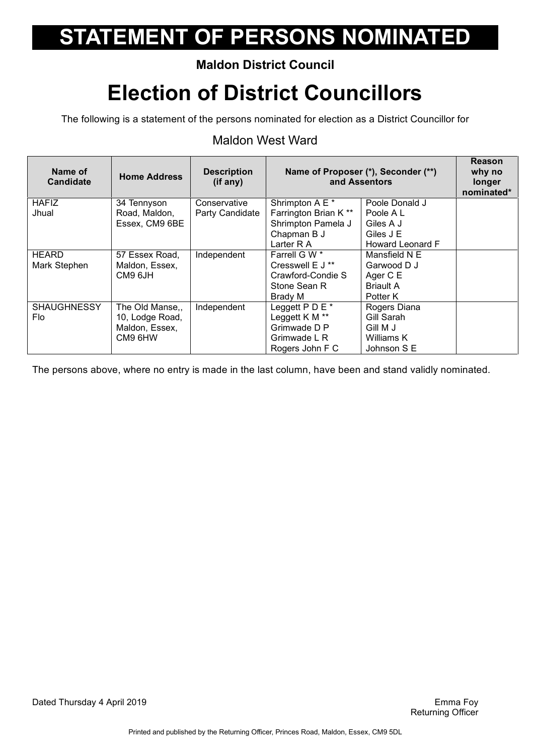### **Maldon District Council**

## **Election of District Councillors**

The following is a statement of the persons nominated for election as a District Councillor for

#### Maldon West Ward

| Name of<br><b>Candidate</b> | <b>Home Address</b> | <b>Description</b><br>$(if$ any) | Name of Proposer (*), Seconder (**)<br>and Assentors |                  | <b>Reason</b><br>why no<br>longer<br>nominated* |
|-----------------------------|---------------------|----------------------------------|------------------------------------------------------|------------------|-------------------------------------------------|
| <b>HAFIZ</b>                | 34 Tennyson         | Conservative                     | Shrimpton A E *                                      | Poole Donald J   |                                                 |
| Jhual                       | Road, Maldon,       | Party Candidate                  | Farrington Brian K **                                | Poole A L        |                                                 |
|                             | Essex, CM9 6BE      |                                  | Shrimpton Pamela J                                   | Giles A J        |                                                 |
|                             |                     |                                  | Chapman B J                                          | Giles J E        |                                                 |
|                             |                     |                                  | Larter R A                                           | Howard Leonard F |                                                 |
| <b>HEARD</b>                | 57 Essex Road,      | Independent                      | Farrell G W *                                        | Mansfield N E    |                                                 |
| Mark Stephen                | Maldon, Essex,      |                                  | Cresswell E J **                                     | Garwood D J      |                                                 |
|                             | CM9 6JH             |                                  | Crawford-Condie S                                    | Ager C E         |                                                 |
|                             |                     |                                  | Stone Sean R                                         | <b>Briault A</b> |                                                 |
|                             |                     |                                  | Brady M                                              | Potter K         |                                                 |
| <b>SHAUGHNESSY</b>          | The Old Manse,,     | Independent                      | Leggett $P D E^*$                                    | Rogers Diana     |                                                 |
| Flo.                        | 10, Lodge Road,     |                                  | Leggett K M **                                       | Gill Sarah       |                                                 |
|                             | Maldon, Essex,      |                                  | Grimwade D P                                         | Gill M J         |                                                 |
|                             | CM9 6HW             |                                  | Grimwade L R                                         | Williams K       |                                                 |
|                             |                     |                                  | Rogers John F C                                      | Johnson S E      |                                                 |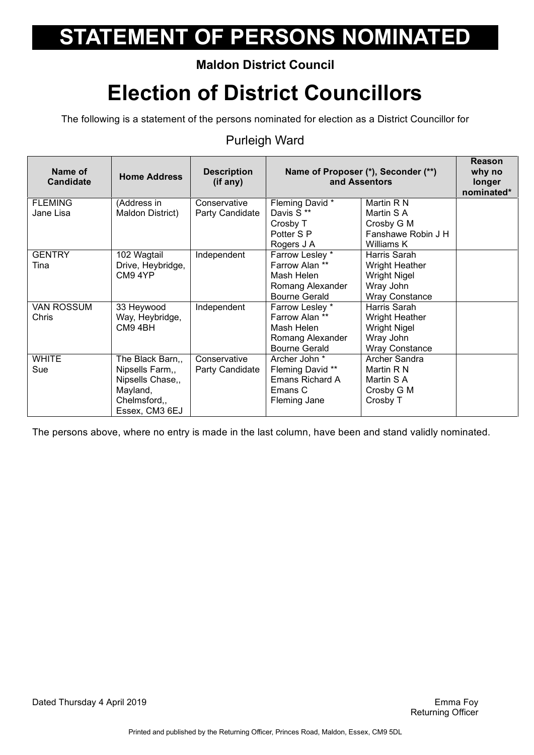### **Maldon District Council**

## **Election of District Councillors**

The following is a statement of the persons nominated for election as a District Councillor for

#### Purleigh Ward

| Name of<br><b>Candidate</b> | <b>Home Address</b> | <b>Description</b><br>(if any) | Name of Proposer (*), Seconder (**)<br>and Assentors |                       | Reason<br>why no<br>longer<br>nominated* |
|-----------------------------|---------------------|--------------------------------|------------------------------------------------------|-----------------------|------------------------------------------|
| <b>FLEMING</b>              | (Address in         | Conservative                   | Fleming David *                                      | Martin R N            |                                          |
| Jane Lisa                   | Maldon District)    | Party Candidate                | Davis S**                                            | Martin S A            |                                          |
|                             |                     |                                | Crosby T                                             | Crosby G M            |                                          |
|                             |                     |                                | Potter S P                                           | Fanshawe Robin J H    |                                          |
|                             |                     |                                | Rogers J A                                           | Williams K            |                                          |
| <b>GENTRY</b>               | 102 Wagtail         | Independent                    | Farrow Lesley *                                      | Harris Sarah          |                                          |
| Tina                        | Drive, Heybridge,   |                                | Farrow Alan **                                       | <b>Wright Heather</b> |                                          |
|                             | CM9 4YP             |                                | Mash Helen                                           | <b>Wright Nigel</b>   |                                          |
|                             |                     |                                | Romang Alexander                                     | Wray John             |                                          |
|                             |                     |                                | <b>Bourne Gerald</b>                                 | <b>Wray Constance</b> |                                          |
| <b>VAN ROSSUM</b>           | 33 Heywood          | Independent                    | Farrow Lesley *                                      | Harris Sarah          |                                          |
| Chris                       | Way, Heybridge,     |                                | Farrow Alan **                                       | Wright Heather        |                                          |
|                             | CM9 4BH             |                                | Mash Helen                                           | <b>Wright Nigel</b>   |                                          |
|                             |                     |                                | Romang Alexander                                     | Wray John             |                                          |
|                             |                     |                                | <b>Bourne Gerald</b>                                 | <b>Wray Constance</b> |                                          |
| <b>WHITE</b>                | The Black Barn,,    | Conservative                   | Archer John *                                        | Archer Sandra         |                                          |
| Sue                         | Nipsells Farm,,     | Party Candidate                | Fleming David **                                     | Martin R N            |                                          |
|                             | Nipsells Chase,,    |                                | Emans Richard A                                      | Martin S A            |                                          |
|                             | Mayland,            |                                | Emans C                                              | Crosby G M            |                                          |
|                             | Chelmsford,,        |                                | Fleming Jane                                         | Crosby T              |                                          |
|                             | Essex, CM3 6EJ      |                                |                                                      |                       |                                          |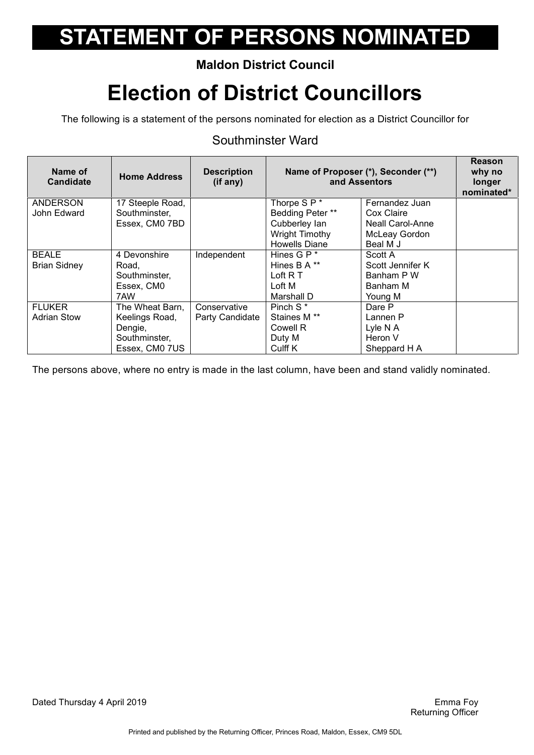### **Maldon District Council**

## **Election of District Councillors**

The following is a statement of the persons nominated for election as a District Councillor for

#### Southminster Ward

| Name of<br><b>Candidate</b> | <b>Home Address</b> | <b>Description</b><br>(if any) | Name of Proposer (*), Seconder (**)<br>and Assentors |                         | <b>Reason</b><br>why no<br>longer<br>nominated* |
|-----------------------------|---------------------|--------------------------------|------------------------------------------------------|-------------------------|-------------------------------------------------|
| <b>ANDERSON</b>             | 17 Steeple Road,    |                                | Thorpe S P *                                         | Fernandez Juan          |                                                 |
| John Edward                 | Southminster,       |                                | Bedding Peter **                                     | Cox Claire              |                                                 |
|                             | Essex, CM0 7BD      |                                | Cubberley lan                                        | <b>Neall Carol-Anne</b> |                                                 |
|                             |                     |                                | Wright Timothy                                       | McLeay Gordon           |                                                 |
|                             |                     |                                | <b>Howells Diane</b>                                 | Beal M J                |                                                 |
| <b>BEALE</b>                | 4 Devonshire        | Independent                    | Hines G P *                                          | Scott A                 |                                                 |
| <b>Brian Sidney</b>         | Road,               |                                | Hines B A **                                         | Scott Jennifer K        |                                                 |
|                             | Southminster,       |                                | Loft R T                                             | Banham P W              |                                                 |
|                             | Essex, CM0          |                                | Loft M                                               | Banham M                |                                                 |
|                             | 7AW                 |                                | Marshall D                                           | Young M                 |                                                 |
| <b>FLUKER</b>               | The Wheat Barn,     | Conservative                   | Pinch S <sup>*</sup>                                 | Dare P                  |                                                 |
| <b>Adrian Stow</b>          | Keelings Road,      | Party Candidate                | Staines M <sup>**</sup>                              | Lannen P                |                                                 |
|                             | Dengie,             |                                | Cowell R                                             | Lyle N A                |                                                 |
|                             | Southminster,       |                                | Duty M                                               | Heron V                 |                                                 |
|                             | Essex, CM0 7US      |                                | Culff K                                              | Sheppard H A            |                                                 |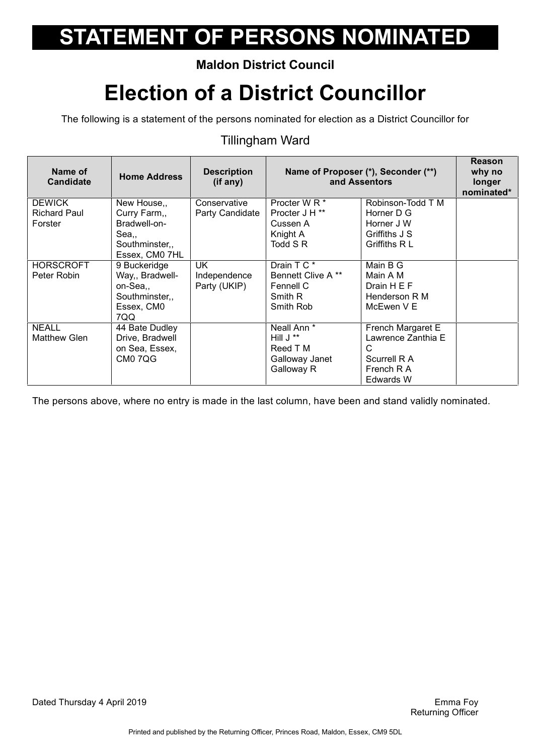### **Maldon District Council**

## **Election of a District Councillor**

The following is a statement of the persons nominated for election as a District Councillor for

#### Tillingham Ward

| Name of<br><b>Candidate</b>          | <b>Home Address</b>              | <b>Description</b><br>(i f any) | Name of Proposer (*), Seconder (**)<br>and Assentors |                                 | <b>Reason</b><br>why no<br>longer<br>nominated* |
|--------------------------------------|----------------------------------|---------------------------------|------------------------------------------------------|---------------------------------|-------------------------------------------------|
| <b>DEWICK</b><br><b>Richard Paul</b> | New House,,<br>Curry Farm,,      | Conservative<br>Party Candidate | Procter W R *<br>Procter J H <sup>**</sup>           | Robinson-Todd T M<br>Horner D G |                                                 |
| Forster                              | Bradwell-on-                     |                                 | Cussen A                                             | Horner J W                      |                                                 |
|                                      | Sea,,                            |                                 | Knight A                                             | Griffiths J S                   |                                                 |
|                                      | Southminster,,<br>Essex, CM0 7HL |                                 | Todd S R                                             | Griffiths R L                   |                                                 |
| <b>HORSCROFT</b>                     | 9 Buckeridge                     | <b>UK</b>                       | Drain T C *                                          | Main B G                        |                                                 |
| Peter Robin                          | Way,, Bradwell-                  | Independence                    | Bennett Clive A **                                   | Main A M                        |                                                 |
|                                      | on-Sea,,                         | Party (UKIP)                    | Fennell C                                            | Drain H E F                     |                                                 |
|                                      | Southminster,,<br>Essex, CM0     |                                 | Smith R<br>Smith Rob                                 | Henderson R M<br>McEwen V E     |                                                 |
|                                      | 7QQ                              |                                 |                                                      |                                 |                                                 |
| <b>NEALL</b>                         | 44 Bate Dudley                   |                                 | Neall Ann <sup>*</sup>                               | French Margaret E               |                                                 |
| <b>Matthew Glen</b>                  | Drive, Bradwell                  |                                 | Hill $J^{\ast\ast}$                                  | Lawrence Zanthia E              |                                                 |
|                                      | on Sea, Essex,                   |                                 | Reed T M                                             | C                               |                                                 |
|                                      | CM07QG                           |                                 | Galloway Janet                                       | Scurrell R A                    |                                                 |
|                                      |                                  |                                 | Galloway R                                           | French R A<br>Edwards W         |                                                 |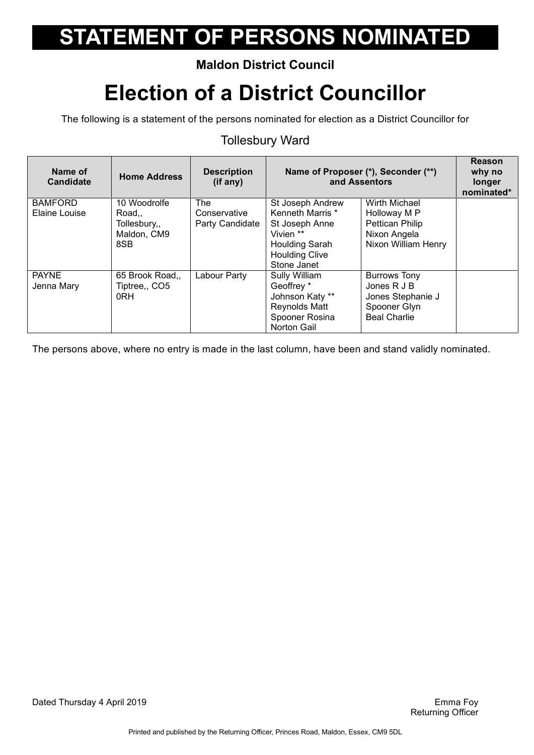### **Maldon District Council**

## **Election of a District Councillor**

The following is a statement of the persons nominated for election as a District Councillor for

#### Tollesbury Ward

| Name of<br>Candidate            | <b>Home Address</b>                                        | <b>Description</b><br>(if any)         | Name of Proposer (*), Seconder (**)<br>and Assentors                                                                                 |                                                                                                | <b>Reason</b><br>why no<br>longer<br>nominated* |
|---------------------------------|------------------------------------------------------------|----------------------------------------|--------------------------------------------------------------------------------------------------------------------------------------|------------------------------------------------------------------------------------------------|-------------------------------------------------|
| <b>BAMFORD</b><br>Elaine Louise | 10 Woodrolfe<br>Road<br>Tollesbury,,<br>Maldon, CM9<br>8SB | The<br>Conservative<br>Party Candidate | St Joseph Andrew<br>Kenneth Marris *<br>St Joseph Anne<br>Vivien **<br><b>Houlding Sarah</b><br><b>Houlding Clive</b><br>Stone Janet | Wirth Michael<br>Holloway M P<br><b>Pettican Philip</b><br>Nixon Angela<br>Nixon William Henry |                                                 |
| <b>PAYNE</b><br>Jenna Mary      | 65 Brook Road,,<br>Tiptree,, CO5<br>0RH                    | Labour Party                           | Sully William<br>Geoffrey *<br>Johnson Katy **<br><b>Reynolds Matt</b><br>Spooner Rosina<br><b>Norton Gail</b>                       | <b>Burrows Tony</b><br>Jones R J B<br>Jones Stephanie J<br>Spooner Glyn<br><b>Beal Charlie</b> |                                                 |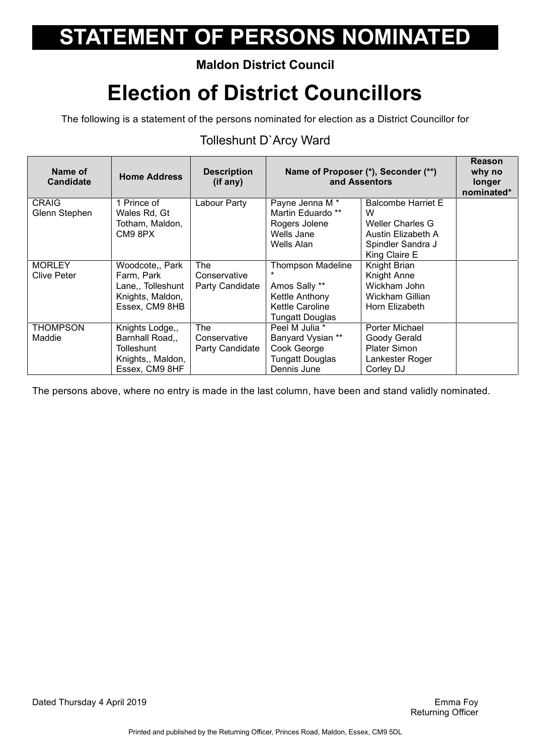### **Maldon District Council**

## **Election of District Councillors**

The following is a statement of the persons nominated for election as a District Councillor for

### Tolleshunt D`Arcy Ward

| Name of<br><b>Candidate</b> | <b>Home Address</b>             | <b>Description</b><br>(if any) | Name of Proposer (*), Seconder (**)<br>and Assentors |                                | <b>Reason</b><br>why no<br>longer<br>nominated* |
|-----------------------------|---------------------------------|--------------------------------|------------------------------------------------------|--------------------------------|-------------------------------------------------|
| <b>CRAIG</b>                | 1 Prince of                     | Labour Party                   | Payne Jenna M <sup>*</sup><br>Martin Eduardo **      | <b>Balcombe Harriet E</b><br>W |                                                 |
| Glenn Stephen               | Wales Rd, Gt<br>Totham, Maldon, |                                | Rogers Jolene                                        | Weller Charles G               |                                                 |
|                             | CM9 8PX                         |                                | Wells Jane                                           | Austin Elizabeth A             |                                                 |
|                             |                                 |                                | Wells Alan                                           | Spindler Sandra J              |                                                 |
|                             |                                 |                                |                                                      | King Claire E                  |                                                 |
| <b>MORLEY</b>               | Woodcote,, Park                 | The                            | <b>Thompson Madeline</b>                             | Knight Brian                   |                                                 |
| <b>Clive Peter</b>          | Farm, Park                      | Conservative                   |                                                      | Knight Anne                    |                                                 |
|                             | Lane,, Tolleshunt               | Party Candidate                | Amos Sally **                                        | Wickham John                   |                                                 |
|                             | Knights, Maldon,                |                                | Kettle Anthony                                       | Wickham Gillian                |                                                 |
|                             | Essex, CM9 8HB                  |                                | <b>Kettle Caroline</b>                               | Horn Elizabeth                 |                                                 |
|                             |                                 |                                | <b>Tungatt Douglas</b>                               |                                |                                                 |
| <b>THOMPSON</b>             | Knights Lodge,,                 | <b>The</b>                     | Peel M Julia *                                       | Porter Michael                 |                                                 |
| Maddie                      | Barnhall Road,                  | Conservative                   | Banyard Vysian **                                    | Goody Gerald                   |                                                 |
|                             | Tolleshunt                      | Party Candidate                | Cook George                                          | <b>Plater Simon</b>            |                                                 |
|                             | Knights,, Maldon,               |                                | <b>Tungatt Douglas</b>                               | Lankester Roger                |                                                 |
|                             | Essex, CM9 8HF                  |                                | Dennis June                                          | Corley DJ                      |                                                 |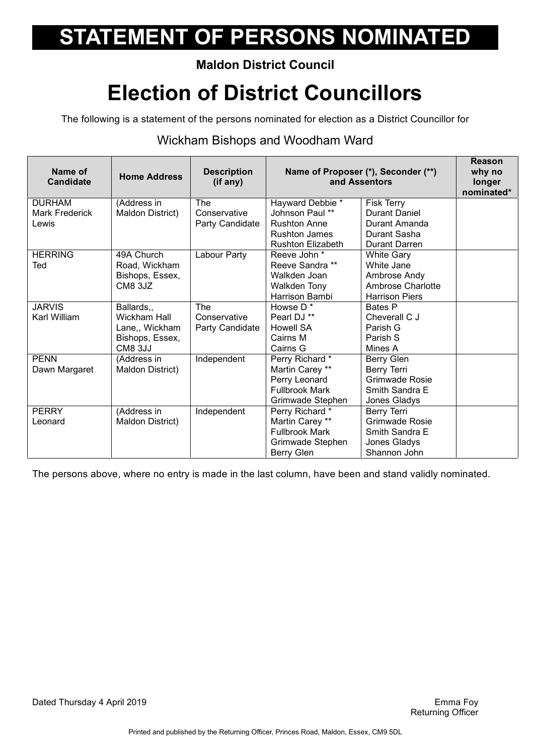### **Maldon District Council**

## **Election of District Councillors**

The following is a statement of the persons nominated for election as a District Councillor for

#### Wickham Bishops and Woodham Ward

| Name of<br><b>Candidate</b> | <b>Home Address</b> | <b>Description</b><br>(if any) | Name of Proposer (*), Seconder (**)<br>and Assentors |                          | Reason<br>why no<br>longer<br>nominated* |
|-----------------------------|---------------------|--------------------------------|------------------------------------------------------|--------------------------|------------------------------------------|
| <b>DURHAM</b>               | (Address in         | The                            | Hayward Debbie *                                     | Fisk Terry               |                                          |
| <b>Mark Frederick</b>       | Maldon District)    | Conservative                   | Johnson Paul **                                      | Durant Daniel            |                                          |
| Lewis                       |                     | Party Candidate                | <b>Rushton Anne</b>                                  | Durant Amanda            |                                          |
|                             |                     |                                | <b>Rushton James</b>                                 | Durant Sasha             |                                          |
|                             |                     |                                | <b>Rushton Elizabeth</b>                             | Durant Darren            |                                          |
| <b>HERRING</b>              | 49A Church          | Labour Party                   | Reeve John *                                         | <b>White Gary</b>        |                                          |
| Ted                         | Road, Wickham       |                                | Reeve Sandra **                                      | White Jane               |                                          |
|                             | Bishops, Essex,     |                                | Walkden Joan                                         | Ambrose Andy             |                                          |
|                             | CM8 3JZ             |                                | Walkden Tony                                         | <b>Ambrose Charlotte</b> |                                          |
|                             |                     |                                | Harrison Bambi                                       | <b>Harrison Piers</b>    |                                          |
| <b>JARVIS</b>               | Ballards,           | The                            | Howse D*                                             | Bates P                  |                                          |
| Karl William                | Wickham Hall        | Conservative                   | Pearl DJ **                                          | Cheverall C J            |                                          |
|                             | Lane,, Wickham      | Party Candidate                | <b>Howell SA</b>                                     | Parish G                 |                                          |
|                             | Bishops, Essex,     |                                | Cairns M                                             | Parish S                 |                                          |
|                             | CM8 3JJ             |                                | Cairns G                                             | Mines A                  |                                          |
| <b>PENN</b>                 | (Address in         | Independent                    | Perry Richard*                                       | Berry Glen               |                                          |
| Dawn Margaret               | Maldon District)    |                                | Martin Carey **                                      | Berry Terri              |                                          |
|                             |                     |                                | Perry Leonard                                        | <b>Grimwade Rosie</b>    |                                          |
|                             |                     |                                | <b>Fullbrook Mark</b>                                | Smith Sandra E           |                                          |
|                             |                     |                                | Grimwade Stephen                                     | Jones Gladys             |                                          |
| <b>PERRY</b>                | (Address in         | Independent                    | Perry Richard *                                      | Berry Terri              |                                          |
| Leonard                     | Maldon District)    |                                | Martin Carey **                                      | Grimwade Rosie           |                                          |
|                             |                     |                                | <b>Fullbrook Mark</b>                                | Smith Sandra E           |                                          |
|                             |                     |                                | Grimwade Stephen                                     | Jones Gladys             |                                          |
|                             |                     |                                | Berry Glen                                           | Shannon John             |                                          |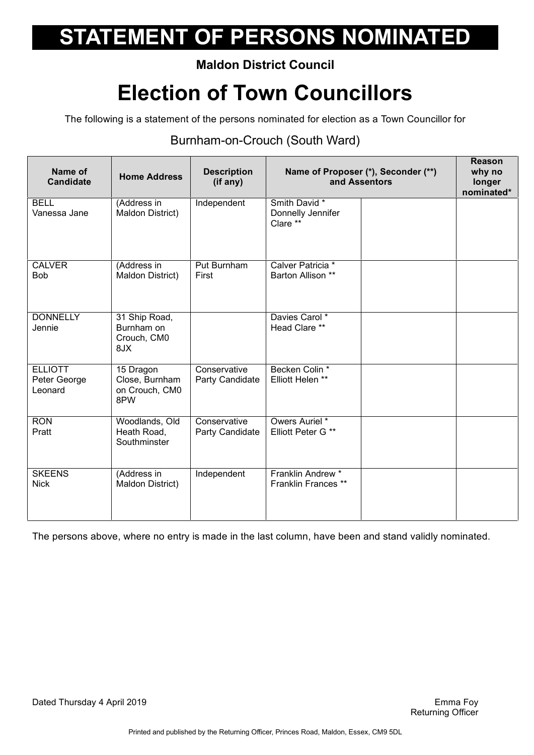#### **Maldon District Council**

## **Election of Town Councillors**

The following is a statement of the persons nominated for election as a Town Councillor for

#### Burnham-on-Crouch (South Ward)

| Name of<br><b>Candidate</b>               | <b>Home Address</b>                                  | <b>Description</b><br>(if any)  | Name of Proposer (*), Seconder (**)<br>and Assentors |  | Reason<br>why no<br>longer<br>nominated* |
|-------------------------------------------|------------------------------------------------------|---------------------------------|------------------------------------------------------|--|------------------------------------------|
| <b>BELL</b><br>Vanessa Jane               | (Address in<br>Maldon District)                      | Independent                     | Smith David *<br>Donnelly Jennifer<br>Clare **       |  |                                          |
| <b>CALVER</b><br><b>Bob</b>               | (Address in<br>Maldon District)                      | Put Burnham<br>First            | Calver Patricia *<br>Barton Allison **               |  |                                          |
| <b>DONNELLY</b><br>Jennie                 | 31 Ship Road,<br>Burnham on<br>Crouch, CM0<br>8JX    |                                 | Davies Carol*<br>Head Clare **                       |  |                                          |
| <b>ELLIOTT</b><br>Peter George<br>Leonard | 15 Dragon<br>Close, Burnham<br>on Crouch, CM0<br>8PW | Conservative<br>Party Candidate | Becken Colin *<br>Elliott Helen **                   |  |                                          |
| <b>RON</b><br>Pratt                       | Woodlands, Old<br>Heath Road,<br>Southminster        | Conservative<br>Party Candidate | Owers Auriel *<br>Elliott Peter G **                 |  |                                          |
| <b>SKEENS</b><br><b>Nick</b>              | (Address in<br>Maldon District)                      | Independent                     | Franklin Andrew <sup>*</sup><br>Franklin Frances **  |  |                                          |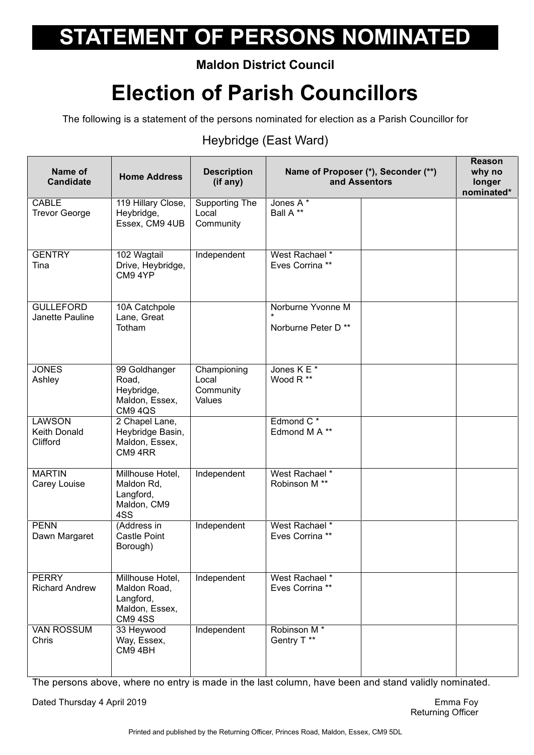### **Maldon District Council**

## **Election of Parish Councillors**

The following is a statement of the persons nominated for election as a Parish Councillor for

### Heybridge (East Ward)

| Name of<br><b>Candidate</b>                      | <b>Home Address</b>                                                               | <b>Description</b><br>(if any)              |                                            | Name of Proposer (*), Seconder (**)<br>and Assentors | Reason<br>why no<br>longer<br>nominated* |
|--------------------------------------------------|-----------------------------------------------------------------------------------|---------------------------------------------|--------------------------------------------|------------------------------------------------------|------------------------------------------|
| CABLE<br><b>Trevor George</b>                    | 119 Hillary Close,<br>Heybridge,<br>Essex, CM9 4UB                                | Supporting The<br>Local<br>Community        | Jones A*<br>Ball A**                       |                                                      |                                          |
| <b>GENTRY</b><br>Tina                            | 102 Wagtail<br>Drive, Heybridge,<br>CM9 4YP                                       | Independent                                 | West Rachael *<br>Eves Corrina **          |                                                      |                                          |
| <b>GULLEFORD</b><br>Janette Pauline              | 10A Catchpole<br>Lane, Great<br>Totham                                            |                                             | Norburne Yvonne M<br>Norburne Peter D**    |                                                      |                                          |
| <b>JONES</b><br>Ashley                           | 99 Goldhanger<br>Road,<br>Heybridge,<br>Maldon, Essex,<br><b>CM9 4QS</b>          | Championing<br>Local<br>Community<br>Values | Jones K E <sup>*</sup><br>Wood R **        |                                                      |                                          |
| <b>LAWSON</b><br><b>Keith Donald</b><br>Clifford | 2 Chapel Lane,<br>Heybridge Basin,<br>Maldon, Essex,<br>CM9 4RR                   |                                             | Edmond C <sup>*</sup><br>Edmond M A **     |                                                      |                                          |
| <b>MARTIN</b><br>Carey Louise                    | Millhouse Hotel,<br>Maldon Rd,<br>Langford,<br>Maldon, CM9<br>4SS                 | Independent                                 | West Rachael *<br>Robinson M <sup>**</sup> |                                                      |                                          |
| <b>PENN</b><br>Dawn Margaret                     | (Address in<br>Castle Point<br>Borough)                                           | Independent                                 | West Rachael *<br>Eves Corrina **          |                                                      |                                          |
| <b>PERRY</b><br><b>Richard Andrew</b>            | Millhouse Hotel,<br>Maldon Road,<br>Langford,<br>Maldon, Essex,<br><b>CM9 4SS</b> | Independent                                 | West Rachael *<br>Eves Corrina **          |                                                      |                                          |
| <b>VAN ROSSUM</b><br>Chris                       | 33 Heywood<br>Way, Essex,<br>CM9 4BH                                              | Independent                                 | Robinson M <sup>*</sup><br>Gentry T **     |                                                      |                                          |

The persons above, where no entry is made in the last column, have been and stand validly nominated.

Dated Thursday 4 April 2019 **Emma** Foy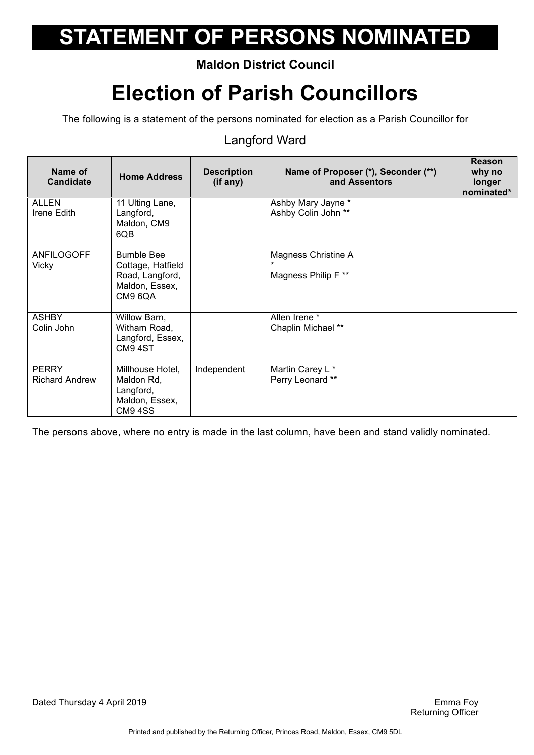### **Maldon District Council**

## **Election of Parish Councillors**

The following is a statement of the persons nominated for election as a Parish Councillor for

#### Langford Ward

| Name of<br><b>Candidate</b>           | <b>Home Address</b>                                                                    | <b>Description</b><br>(if any) | Name of Proposer (*), Seconder (**)<br>and Assentors |  | <b>Reason</b><br>why no<br>longer<br>nominated* |
|---------------------------------------|----------------------------------------------------------------------------------------|--------------------------------|------------------------------------------------------|--|-------------------------------------------------|
| <b>ALLEN</b><br>Irene Edith           | 11 Ulting Lane,<br>Langford,<br>Maldon, CM9<br>6QB                                     |                                | Ashby Mary Jayne *<br>Ashby Colin John **            |  |                                                 |
| ANFILOGOFF<br>Vicky                   | <b>Bumble Bee</b><br>Cottage, Hatfield<br>Road, Langford,<br>Maldon, Essex,<br>CM9 6QA |                                | Magness Christine A<br>Magness Philip F **           |  |                                                 |
| <b>ASHBY</b><br>Colin John            | Willow Barn,<br>Witham Road,<br>Langford, Essex,<br>CM94ST                             |                                | Allen Irene *<br>Chaplin Michael **                  |  |                                                 |
| <b>PERRY</b><br><b>Richard Andrew</b> | Millhouse Hotel,<br>Maldon Rd,<br>Langford,<br>Maldon, Essex,<br><b>CM9 4SS</b>        | Independent                    | Martin Carey L *<br>Perry Leonard **                 |  |                                                 |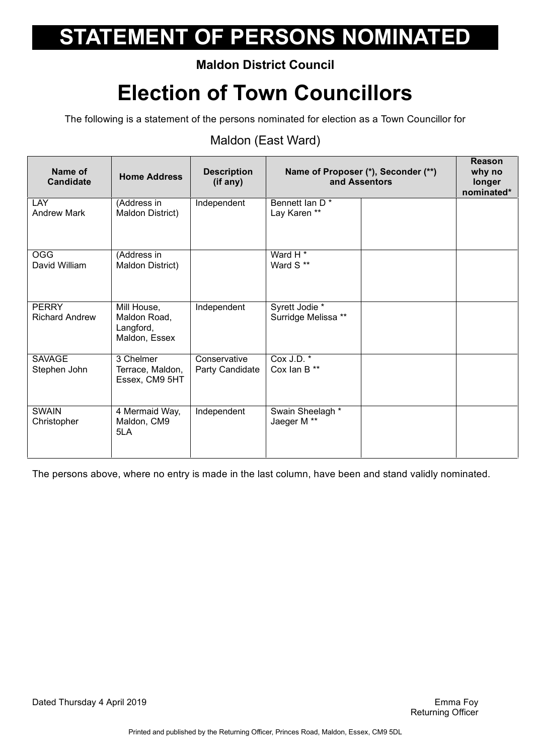### **Maldon District Council**

## **Election of Town Councillors**

The following is a statement of the persons nominated for election as a Town Councillor for

#### Maldon (East Ward)

| Name of<br><b>Candidate</b>           | <b>Home Address</b>                                       | <b>Description</b><br>(if any)  | Name of Proposer (*), Seconder (**)<br>and Assentors |  | Reason<br>why no<br>longer<br>nominated* |
|---------------------------------------|-----------------------------------------------------------|---------------------------------|------------------------------------------------------|--|------------------------------------------|
| <b>LAY</b><br><b>Andrew Mark</b>      | (Address in<br>Maldon District)                           | Independent                     | Bennett Ian D <sup>*</sup><br>Lay Karen **           |  |                                          |
| <b>OGG</b><br>David William           | (Address in<br>Maldon District)                           |                                 | Ward H <sup>*</sup><br>Ward S **                     |  |                                          |
| <b>PERRY</b><br><b>Richard Andrew</b> | Mill House,<br>Maldon Road,<br>Langford,<br>Maldon, Essex | Independent                     | Syrett Jodie *<br>Surridge Melissa **                |  |                                          |
| <b>SAVAGE</b><br>Stephen John         | 3 Chelmer<br>Terrace, Maldon,<br>Essex, CM9 5HT           | Conservative<br>Party Candidate | Cox J.D.<br>Cox Ian B**                              |  |                                          |
| <b>SWAIN</b><br>Christopher           | 4 Mermaid Way,<br>Maldon, CM9<br>5LA                      | Independent                     | Swain Sheelagh *<br>Jaeger M **                      |  |                                          |